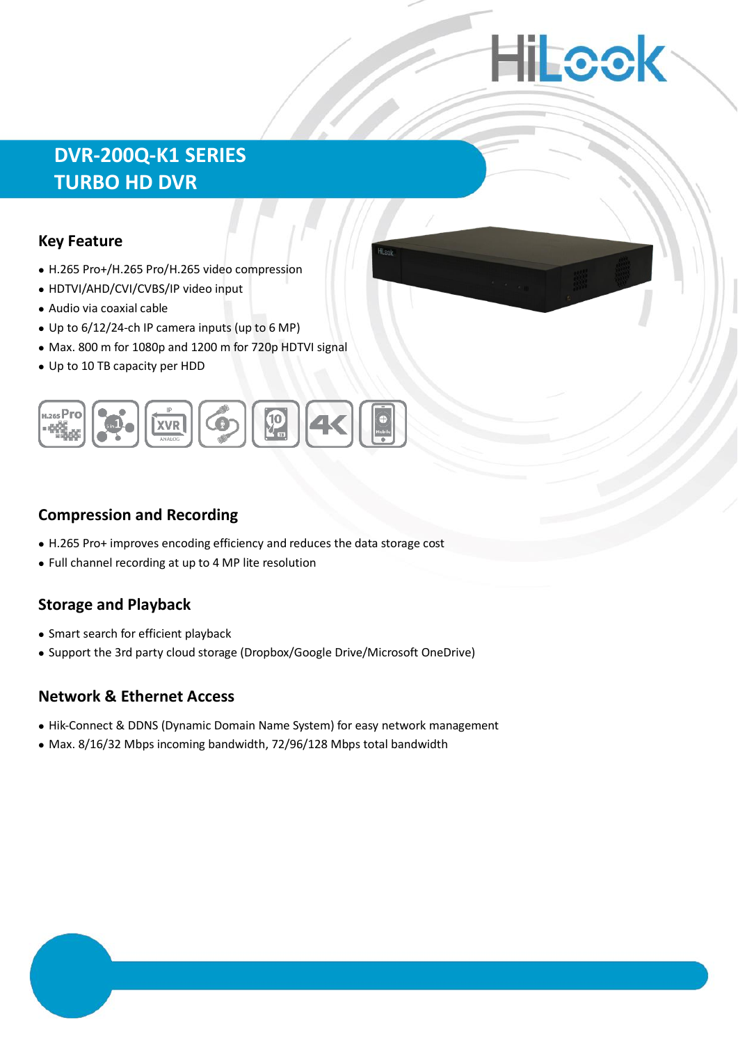# **Hillcok**

## **DVR-200Q-K1 SERIES TURBO HD DVR**

#### **Key Feature**

- H.265 Pro+/H.265 Pro/H.265 video compression
- HDTVI/AHD/CVI/CVBS/IP video input
- Audio via coaxial cable
- Up to 6/12/24-ch IP camera inputs (up to 6 MP)
- Max. 800 m for 1080p and 1200 m for 720p HDTVI signal
- Up to 10 TB capacity per HDD



#### **Compression and Recording**

- H.265 Pro+ improves encoding efficiency and reduces the data storage cost
- Full channel recording at up to 4 MP lite resolution

#### **Storage and Playback**

- Smart search for efficient playback
- Support the 3rd party cloud storage (Dropbox/Google Drive/Microsoft OneDrive)

#### **Network & Ethernet Access**

- Hik-Connect & DDNS (Dynamic Domain Name System) for easy network management
- Max. 8/16/32 Mbps incoming bandwidth, 72/96/128 Mbps total bandwidth

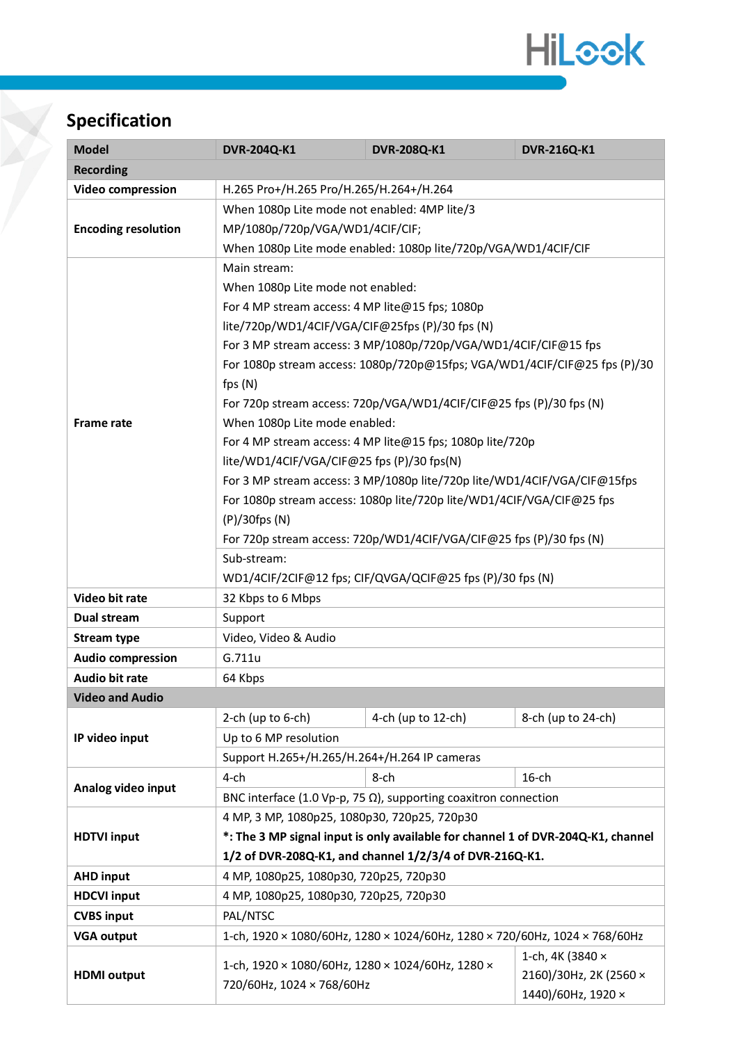

# **Specification**

| <b>Model</b>               | <b>DVR-204Q-K1</b>                                                               | <b>DVR-208Q-K1</b>                                                         | <b>DVR-216Q-K1</b>     |  |  |  |
|----------------------------|----------------------------------------------------------------------------------|----------------------------------------------------------------------------|------------------------|--|--|--|
| <b>Recording</b>           |                                                                                  |                                                                            |                        |  |  |  |
| <b>Video compression</b>   | H.265 Pro+/H.265 Pro/H.265/H.264+/H.264                                          |                                                                            |                        |  |  |  |
|                            | When 1080p Lite mode not enabled: 4MP lite/3                                     |                                                                            |                        |  |  |  |
| <b>Encoding resolution</b> | MP/1080p/720p/VGA/WD1/4CIF/CIF;                                                  |                                                                            |                        |  |  |  |
|                            | When 1080p Lite mode enabled: 1080p lite/720p/VGA/WD1/4CIF/CIF                   |                                                                            |                        |  |  |  |
|                            | Main stream:                                                                     |                                                                            |                        |  |  |  |
|                            | When 1080p Lite mode not enabled:                                                |                                                                            |                        |  |  |  |
|                            | For 4 MP stream access: 4 MP lite@15 fps; 1080p                                  |                                                                            |                        |  |  |  |
|                            | lite/720p/WD1/4ClF/VGA/ClF@25fps (P)/30 fps (N)                                  |                                                                            |                        |  |  |  |
| <b>Frame rate</b>          | For 3 MP stream access: 3 MP/1080p/720p/VGA/WD1/4CIF/CIF@15 fps                  |                                                                            |                        |  |  |  |
|                            | For 1080p stream access: 1080p/720p@15fps; VGA/WD1/4CIF/CIF@25 fps (P)/30        |                                                                            |                        |  |  |  |
|                            | fps $(N)$                                                                        |                                                                            |                        |  |  |  |
|                            | For 720p stream access: 720p/VGA/WD1/4CIF/CIF@25 fps (P)/30 fps (N)              |                                                                            |                        |  |  |  |
|                            | When 1080p Lite mode enabled:                                                    |                                                                            |                        |  |  |  |
|                            | For 4 MP stream access: 4 MP lite@15 fps; 1080p lite/720p                        |                                                                            |                        |  |  |  |
|                            | lite/WD1/4CIF/VGA/CIF@25 fps (P)/30 fps(N)                                       |                                                                            |                        |  |  |  |
|                            | For 3 MP stream access: 3 MP/1080p lite/720p lite/WD1/4CIF/VGA/CIF@15fps         |                                                                            |                        |  |  |  |
|                            | For 1080p stream access: 1080p lite/720p lite/WD1/4CIF/VGA/CIF@25 fps            |                                                                            |                        |  |  |  |
|                            | (P)/30fps (N)                                                                    |                                                                            |                        |  |  |  |
|                            | For 720p stream access: 720p/WD1/4CIF/VGA/CIF@25 fps (P)/30 fps (N)              |                                                                            |                        |  |  |  |
|                            | Sub-stream:                                                                      |                                                                            |                        |  |  |  |
|                            | WD1/4CIF/2CIF@12 fps; CIF/QVGA/QCIF@25 fps (P)/30 fps (N)                        |                                                                            |                        |  |  |  |
| Video bit rate             | 32 Kbps to 6 Mbps                                                                |                                                                            |                        |  |  |  |
| Dual stream                | Support                                                                          |                                                                            |                        |  |  |  |
| <b>Stream type</b>         | Video, Video & Audio                                                             |                                                                            |                        |  |  |  |
| <b>Audio compression</b>   | G.711u                                                                           |                                                                            |                        |  |  |  |
| <b>Audio bit rate</b>      | 64 Kbps                                                                          |                                                                            |                        |  |  |  |
| <b>Video and Audio</b>     |                                                                                  |                                                                            |                        |  |  |  |
|                            | 2-ch (up to $6$ -ch)                                                             | 4-ch (up to 12-ch)                                                         | 8-ch (up to 24-ch)     |  |  |  |
| IP video input             | Up to 6 MP resolution                                                            |                                                                            |                        |  |  |  |
|                            | Support H.265+/H.265/H.264+/H.264 IP cameras                                     |                                                                            |                        |  |  |  |
| Analog video input         | $4$ -ch                                                                          | 8-ch                                                                       | $16$ -ch               |  |  |  |
|                            | BNC interface (1.0 Vp-p, 75 $\Omega$ ), supporting coaxitron connection          |                                                                            |                        |  |  |  |
|                            | 4 MP, 3 MP, 1080p25, 1080p30, 720p25, 720p30                                     |                                                                            |                        |  |  |  |
| <b>HDTVI input</b>         | *: The 3 MP signal input is only available for channel 1 of DVR-204Q-K1, channel |                                                                            |                        |  |  |  |
|                            | 1/2 of DVR-208Q-K1, and channel 1/2/3/4 of DVR-216Q-K1.                          |                                                                            |                        |  |  |  |
| <b>AHD input</b>           | 4 MP, 1080p25, 1080p30, 720p25, 720p30                                           |                                                                            |                        |  |  |  |
| <b>HDCVI input</b>         | 4 MP, 1080p25, 1080p30, 720p25, 720p30                                           |                                                                            |                        |  |  |  |
| <b>CVBS input</b>          | PAL/NTSC                                                                         |                                                                            |                        |  |  |  |
| <b>VGA output</b>          |                                                                                  | 1-ch, 1920 × 1080/60Hz, 1280 × 1024/60Hz, 1280 × 720/60Hz, 1024 × 768/60Hz |                        |  |  |  |
| <b>HDMI</b> output         | 1-ch, 4K (3840 ×                                                                 |                                                                            |                        |  |  |  |
|                            | 1-ch, 1920 × 1080/60Hz, 1280 × 1024/60Hz, 1280 ×<br>720/60Hz, 1024 × 768/60Hz    |                                                                            | 2160)/30Hz, 2K (2560 × |  |  |  |
|                            |                                                                                  |                                                                            | 1440)/60Hz, 1920 ×     |  |  |  |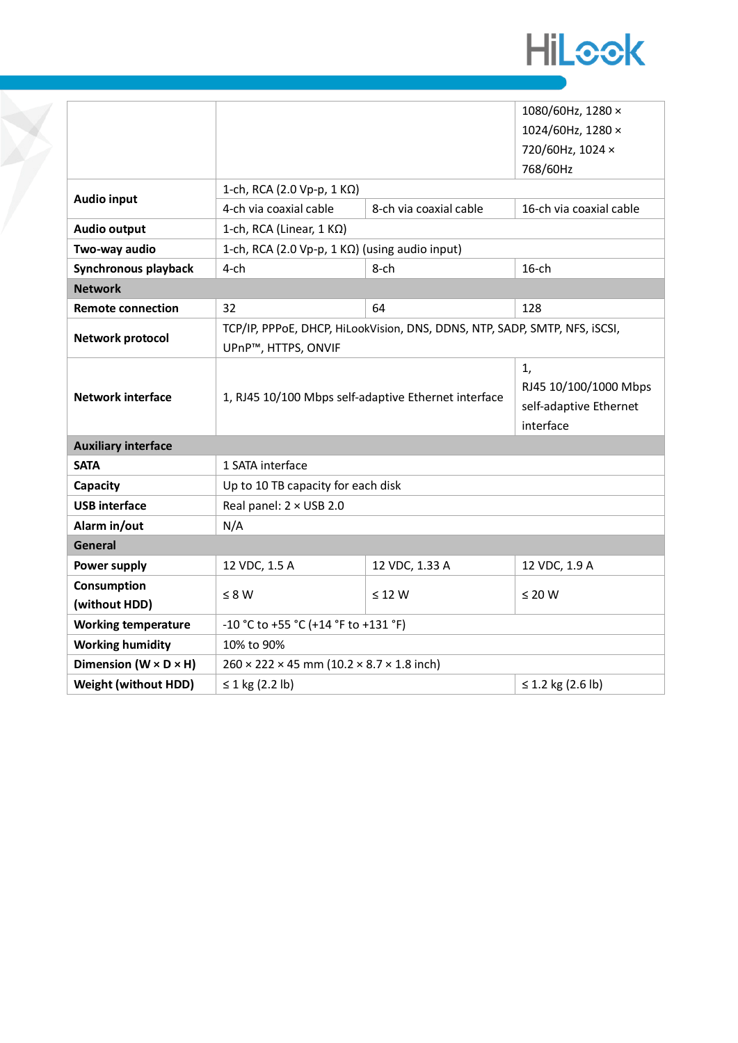

|                                   |                                                                            | 1080/60Hz, 1280 ×                                                  |               |  |  |  |  |
|-----------------------------------|----------------------------------------------------------------------------|--------------------------------------------------------------------|---------------|--|--|--|--|
|                                   |                                                                            | 1024/60Hz, 1280 ×                                                  |               |  |  |  |  |
|                                   |                                                                            | 720/60Hz, 1024 ×                                                   |               |  |  |  |  |
|                                   |                                                                            | 768/60Hz                                                           |               |  |  |  |  |
| <b>Audio input</b>                | 1-ch, RCA (2.0 Vp-p, 1 K $\Omega$ )                                        |                                                                    |               |  |  |  |  |
|                                   | 4-ch via coaxial cable                                                     | 8-ch via coaxial cable                                             |               |  |  |  |  |
| <b>Audio output</b>               | 1-ch, RCA (Linear, $1 K\Omega$ )                                           |                                                                    |               |  |  |  |  |
| Two-way audio                     | 1-ch, RCA (2.0 Vp-p, 1 KΩ) (using audio input)                             |                                                                    |               |  |  |  |  |
| Synchronous playback              | $4$ -ch<br>$8$ -ch                                                         |                                                                    | $16$ -ch      |  |  |  |  |
| <b>Network</b>                    |                                                                            |                                                                    |               |  |  |  |  |
| <b>Remote connection</b>          | 32                                                                         | 64                                                                 | 128           |  |  |  |  |
| <b>Network protocol</b>           | TCP/IP, PPPoE, DHCP, HiLookVision, DNS, DDNS, NTP, SADP, SMTP, NFS, ISCSI, |                                                                    |               |  |  |  |  |
|                                   | UPnP™, HTTPS, ONVIF                                                        |                                                                    |               |  |  |  |  |
| <b>Network interface</b>          | 1, RJ45 10/100 Mbps self-adaptive Ethernet interface                       | 1,<br>RJ45 10/100/1000 Mbps<br>self-adaptive Ethernet<br>interface |               |  |  |  |  |
| <b>Auxiliary interface</b>        |                                                                            |                                                                    |               |  |  |  |  |
| <b>SATA</b>                       | 1 SATA interface                                                           |                                                                    |               |  |  |  |  |
| Capacity                          | Up to 10 TB capacity for each disk                                         |                                                                    |               |  |  |  |  |
| <b>USB</b> interface              | Real panel: 2 × USB 2.0                                                    |                                                                    |               |  |  |  |  |
| Alarm in/out                      | N/A                                                                        |                                                                    |               |  |  |  |  |
| <b>General</b>                    |                                                                            |                                                                    |               |  |  |  |  |
| Power supply                      | 12 VDC, 1.5 A                                                              | 12 VDC, 1.33 A                                                     | 12 VDC, 1.9 A |  |  |  |  |
| <b>Consumption</b>                |                                                                            | $\leq$ 12 W                                                        | $\leq 20$ W   |  |  |  |  |
| (without HDD)                     | $\leq 8 W$                                                                 |                                                                    |               |  |  |  |  |
| <b>Working temperature</b>        | -10 °C to +55 °C (+14 °F to +131 °F)                                       |                                                                    |               |  |  |  |  |
| <b>Working humidity</b>           | 10% to 90%                                                                 |                                                                    |               |  |  |  |  |
| Dimension $(W \times D \times H)$ | $260 \times 222 \times 45$ mm (10.2 $\times$ 8.7 $\times$ 1.8 inch)        |                                                                    |               |  |  |  |  |
| <b>Weight (without HDD)</b>       | ≤ 1 kg $(2.2 lb)$<br>≤ 1.2 kg (2.6 lb)                                     |                                                                    |               |  |  |  |  |

P